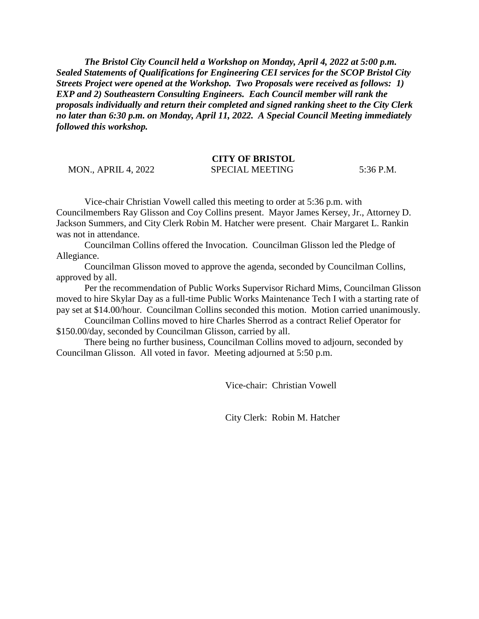*The Bristol City Council held a Workshop on Monday, April 4, 2022 at 5:00 p.m. Sealed Statements of Qualifications for Engineering CEI services for the SCOP Bristol City Streets Project were opened at the Workshop. Two Proposals were received as follows: 1) EXP and 2) Southeastern Consulting Engineers. Each Council member will rank the proposals individually and return their completed and signed ranking sheet to the City Clerk no later than 6:30 p.m. on Monday, April 11, 2022. A Special Council Meeting immediately followed this workshop.*

## **CITY OF BRISTOL**

MON., APRIL 4, 2022 SPECIAL MEETING 5:36 P.M.

Vice-chair Christian Vowell called this meeting to order at 5:36 p.m. with Councilmembers Ray Glisson and Coy Collins present. Mayor James Kersey, Jr., Attorney D. Jackson Summers, and City Clerk Robin M. Hatcher were present. Chair Margaret L. Rankin was not in attendance.

Councilman Collins offered the Invocation. Councilman Glisson led the Pledge of Allegiance.

Councilman Glisson moved to approve the agenda, seconded by Councilman Collins, approved by all.

Per the recommendation of Public Works Supervisor Richard Mims, Councilman Glisson moved to hire Skylar Day as a full-time Public Works Maintenance Tech I with a starting rate of pay set at \$14.00/hour. Councilman Collins seconded this motion. Motion carried unanimously.

Councilman Collins moved to hire Charles Sherrod as a contract Relief Operator for \$150.00/day, seconded by Councilman Glisson, carried by all.

There being no further business, Councilman Collins moved to adjourn, seconded by Councilman Glisson. All voted in favor. Meeting adjourned at 5:50 p.m.

Vice-chair: Christian Vowell

City Clerk: Robin M. Hatcher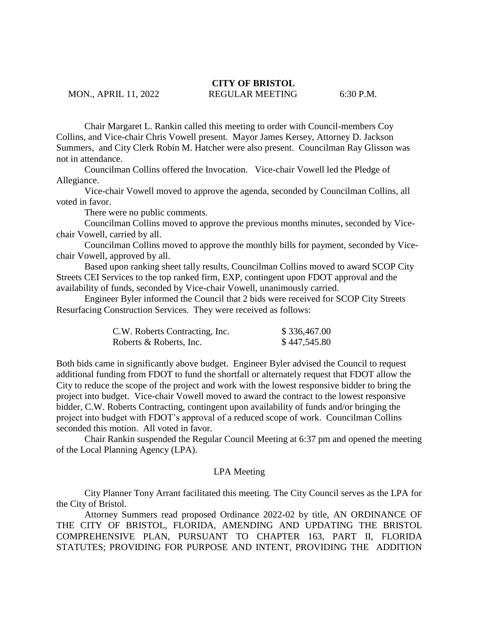# **CITY OF BRISTOL**

## MON., APRIL 11, 2022 REGULAR MEETING 6:30 P.M.

Chair Margaret L. Rankin called this meeting to order with Council-members Coy Collins, and Vice-chair Chris Vowell present. Mayor James Kersey, Attorney D. Jackson Summers, and City Clerk Robin M. Hatcher were also present. Councilman Ray Glisson was not in attendance.

Councilman Collins offered the Invocation. Vice-chair Vowell led the Pledge of Allegiance.

Vice-chair Vowell moved to approve the agenda, seconded by Councilman Collins, all voted in favor.

There were no public comments.

Councilman Collins moved to approve the previous months minutes, seconded by Vicechair Vowell, carried by all.

Councilman Collins moved to approve the monthly bills for payment, seconded by Vicechair Vowell, approved by all.

Based upon ranking sheet tally results, Councilman Collins moved to award SCOP City Streets CEI Services to the top ranked firm, EXP, contingent upon FDOT approval and the availability of funds, seconded by Vice-chair Vowell, unanimously carried.

Engineer Byler informed the Council that 2 bids were received for SCOP City Streets Resurfacing Construction Services. They were received as follows:

| C.W. Roberts Contracting, Inc. | \$336,467.00 |
|--------------------------------|--------------|
| Roberts & Roberts, Inc.        | \$447,545.80 |

Both bids came in significantly above budget. Engineer Byler advised the Council to request additional funding from FDOT to fund the shortfall or alternately request that FDOT allow the City to reduce the scope of the project and work with the lowest responsive bidder to bring the project into budget. Vice-chair Vowell moved to award the contract to the lowest responsive bidder, C.W. Roberts Contracting, contingent upon availability of funds and/or bringing the project into budget with FDOT's approval of a reduced scope of work. Councilman Collins seconded this motion. All voted in favor.

Chair Rankin suspended the Regular Council Meeting at 6:37 pm and opened the meeting of the Local Planning Agency (LPA).

#### LPA Meeting

City Planner Tony Arrant facilitated this meeting. The City Council serves as the LPA for the City of Bristol.

Attorney Summers read proposed Ordinance 2022-02 by title, AN ORDINANCE OF THE CITY OF BRISTOL, FLORIDA, AMENDING AND UPDATING THE BRISTOL COMPREHENSIVE PLAN, PURSUANT TO CHAPTER 163, PART II, FLORIDA STATUTES; PROVIDING FOR PURPOSE AND INTENT, PROVIDING THE ADDITION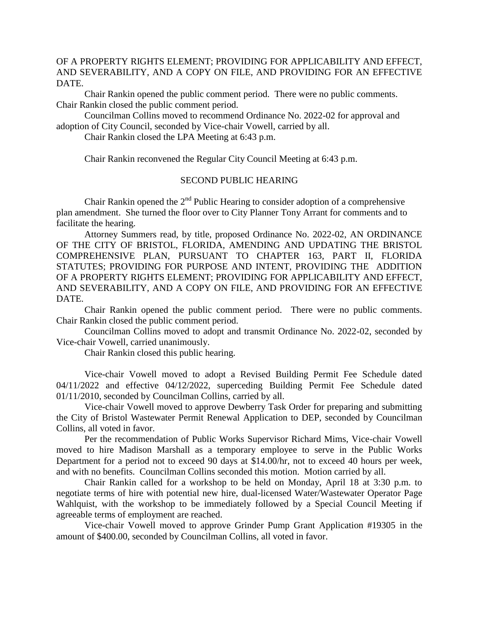### OF A PROPERTY RIGHTS ELEMENT; PROVIDING FOR APPLICABILITY AND EFFECT, AND SEVERABILITY, AND A COPY ON FILE, AND PROVIDING FOR AN EFFECTIVE DATE.

Chair Rankin opened the public comment period. There were no public comments. Chair Rankin closed the public comment period.

Councilman Collins moved to recommend Ordinance No. 2022-02 for approval and adoption of City Council, seconded by Vice-chair Vowell, carried by all.

Chair Rankin closed the LPA Meeting at 6:43 p.m.

Chair Rankin reconvened the Regular City Council Meeting at 6:43 p.m.

### SECOND PUBLIC HEARING

Chair Rankin opened the  $2<sup>nd</sup>$  Public Hearing to consider adoption of a comprehensive plan amendment. She turned the floor over to City Planner Tony Arrant for comments and to facilitate the hearing.

Attorney Summers read, by title, proposed Ordinance No. 2022-02, AN ORDINANCE OF THE CITY OF BRISTOL, FLORIDA, AMENDING AND UPDATING THE BRISTOL COMPREHENSIVE PLAN, PURSUANT TO CHAPTER 163, PART II, FLORIDA STATUTES; PROVIDING FOR PURPOSE AND INTENT, PROVIDING THE ADDITION OF A PROPERTY RIGHTS ELEMENT; PROVIDING FOR APPLICABILITY AND EFFECT, AND SEVERABILITY, AND A COPY ON FILE, AND PROVIDING FOR AN EFFECTIVE DATE.

Chair Rankin opened the public comment period. There were no public comments. Chair Rankin closed the public comment period.

Councilman Collins moved to adopt and transmit Ordinance No. 2022-02, seconded by Vice-chair Vowell, carried unanimously.

Chair Rankin closed this public hearing.

Vice-chair Vowell moved to adopt a Revised Building Permit Fee Schedule dated 04/11/2022 and effective 04/12/2022, superceding Building Permit Fee Schedule dated 01/11/2010, seconded by Councilman Collins, carried by all.

Vice-chair Vowell moved to approve Dewberry Task Order for preparing and submitting the City of Bristol Wastewater Permit Renewal Application to DEP, seconded by Councilman Collins, all voted in favor.

Per the recommendation of Public Works Supervisor Richard Mims, Vice-chair Vowell moved to hire Madison Marshall as a temporary employee to serve in the Public Works Department for a period not to exceed 90 days at \$14.00/hr, not to exceed 40 hours per week, and with no benefits. Councilman Collins seconded this motion. Motion carried by all.

Chair Rankin called for a workshop to be held on Monday, April 18 at 3:30 p.m. to negotiate terms of hire with potential new hire, dual-licensed Water/Wastewater Operator Page Wahlquist, with the workshop to be immediately followed by a Special Council Meeting if agreeable terms of employment are reached.

Vice-chair Vowell moved to approve Grinder Pump Grant Application #19305 in the amount of \$400.00, seconded by Councilman Collins, all voted in favor.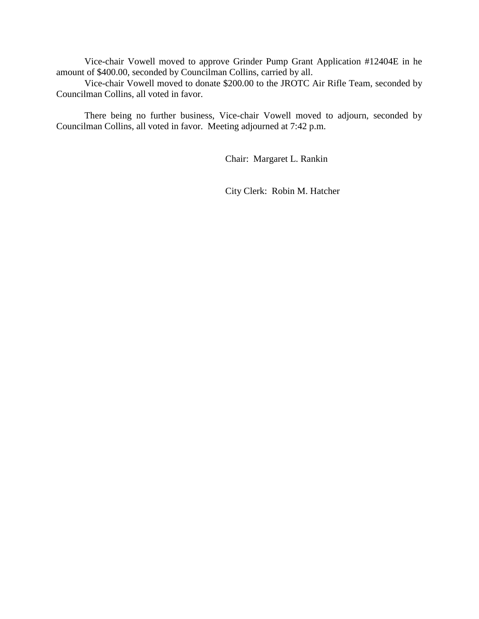Vice-chair Vowell moved to approve Grinder Pump Grant Application #12404E in he amount of \$400.00, seconded by Councilman Collins, carried by all.

Vice-chair Vowell moved to donate \$200.00 to the JROTC Air Rifle Team, seconded by Councilman Collins, all voted in favor.

There being no further business, Vice-chair Vowell moved to adjourn, seconded by Councilman Collins, all voted in favor. Meeting adjourned at 7:42 p.m.

Chair: Margaret L. Rankin

City Clerk: Robin M. Hatcher